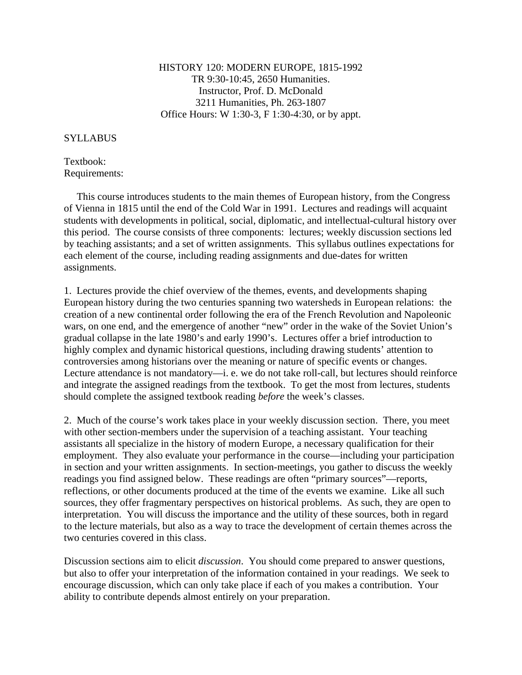HISTORY 120: MODERN EUROPE, 1815-1992 TR 9:30-10:45, 2650 Humanities. Instructor, Prof. D. McDonald 3211 Humanities, Ph. 263-1807 Office Hours: W 1:30-3, F 1:30-4:30, or by appt.

## **SYLLABUS**

## Textbook: Requirements:

 This course introduces students to the main themes of European history, from the Congress of Vienna in 1815 until the end of the Cold War in 1991. Lectures and readings will acquaint students with developments in political, social, diplomatic, and intellectual-cultural history over this period. The course consists of three components: lectures; weekly discussion sections led by teaching assistants; and a set of written assignments. This syllabus outlines expectations for each element of the course, including reading assignments and due-dates for written assignments.

1. Lectures provide the chief overview of the themes, events, and developments shaping European history during the two centuries spanning two watersheds in European relations: the creation of a new continental order following the era of the French Revolution and Napoleonic wars, on one end, and the emergence of another "new" order in the wake of the Soviet Union's gradual collapse in the late 1980's and early 1990's. Lectures offer a brief introduction to highly complex and dynamic historical questions, including drawing students' attention to controversies among historians over the meaning or nature of specific events or changes. Lecture attendance is not mandatory—i. e. we do not take roll-call, but lectures should reinforce and integrate the assigned readings from the textbook. To get the most from lectures, students should complete the assigned textbook reading *before* the week's classes.

2. Much of the course's work takes place in your weekly discussion section. There, you meet with other section-members under the supervision of a teaching assistant. Your teaching assistants all specialize in the history of modern Europe, a necessary qualification for their employment. They also evaluate your performance in the course—including your participation in section and your written assignments. In section-meetings, you gather to discuss the weekly readings you find assigned below. These readings are often "primary sources"—reports, reflections, or other documents produced at the time of the events we examine. Like all such sources, they offer fragmentary perspectives on historical problems. As such, they are open to interpretation. You will discuss the importance and the utility of these sources, both in regard to the lecture materials, but also as a way to trace the development of certain themes across the two centuries covered in this class.

Discussion sections aim to elicit *discussion*. You should come prepared to answer questions, but also to offer your interpretation of the information contained in your readings. We seek to encourage discussion, which can only take place if each of you makes a contribution. Your ability to contribute depends almost entirely on your preparation.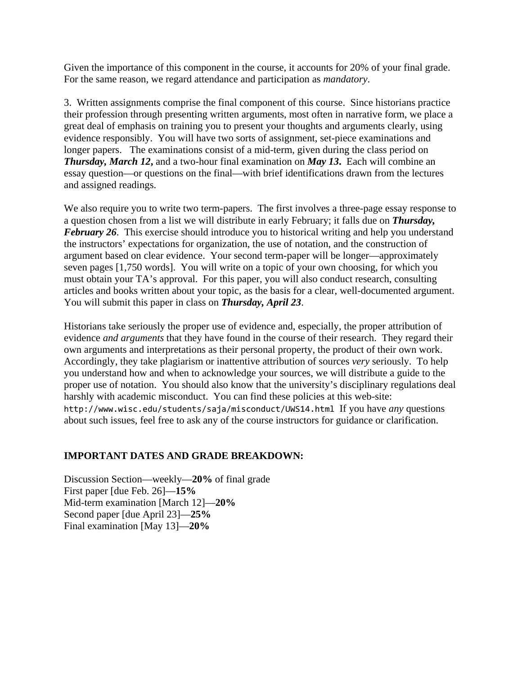Given the importance of this component in the course, it accounts for 20% of your final grade. For the same reason, we regard attendance and participation as *mandatory*.

3. Written assignments comprise the final component of this course. Since historians practice their profession through presenting written arguments, most often in narrative form, we place a great deal of emphasis on training you to present your thoughts and arguments clearly, using evidence responsibly. You will have two sorts of assignment, set-piece examinations and longer papers. The examinations consist of a mid-term, given during the class period on *Thursday, March 12***,** and a two-hour final examination on *May 13***.** Each will combine an essay question—or questions on the final—with brief identifications drawn from the lectures and assigned readings.

We also require you to write two term-papers. The first involves a three-page essay response to a question chosen from a list we will distribute in early February; it falls due on *Thursday, February 26*. This exercise should introduce you to historical writing and help you understand the instructors' expectations for organization, the use of notation, and the construction of argument based on clear evidence. Your second term-paper will be longer—approximately seven pages [1,750 words]. You will write on a topic of your own choosing, for which you must obtain your TA's approval. For this paper, you will also conduct research, consulting articles and books written about your topic, as the basis for a clear, well-documented argument. You will submit this paper in class on *Thursday, April 23*.

Historians take seriously the proper use of evidence and, especially, the proper attribution of evidence *and arguments* that they have found in the course of their research. They regard their own arguments and interpretations as their personal property, the product of their own work. Accordingly, they take plagiarism or inattentive attribution of sources *very* seriously. To help you understand how and when to acknowledge your sources, we will distribute a guide to the proper use of notation. You should also know that the university's disciplinary regulations deal harshly with academic misconduct. You can find these policies at this web-site: http://www.wisc.edu/students/saja/misconduct/UWS14.html If you have *any* questions about such issues, feel free to ask any of the course instructors for guidance or clarification.

## **IMPORTANT DATES AND GRADE BREAKDOWN:**

Discussion Section—weekly—**20%** of final grade First paper [due Feb. 26]—**15%** Mid-term examination [March 12]—**20%**  Second paper [due April 23]—**25%** Final examination [May 13]—**20%**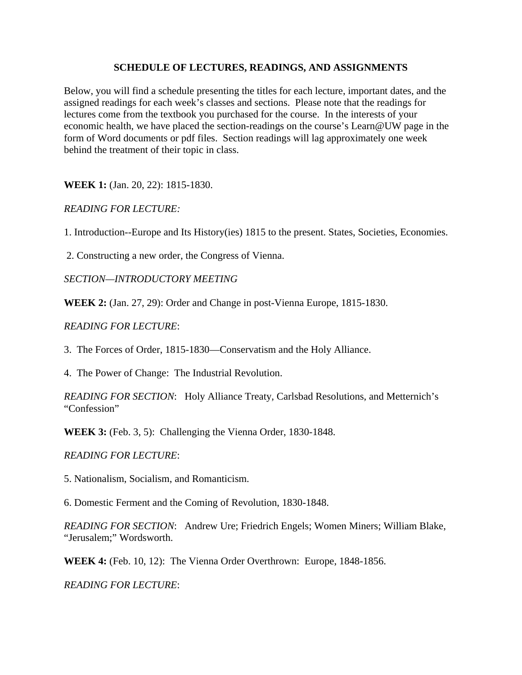## **SCHEDULE OF LECTURES, READINGS, AND ASSIGNMENTS**

Below, you will find a schedule presenting the titles for each lecture, important dates, and the assigned readings for each week's classes and sections. Please note that the readings for lectures come from the textbook you purchased for the course. In the interests of your economic health, we have placed the section-readings on the course's Learn@UW page in the form of Word documents or pdf files. Section readings will lag approximately one week behind the treatment of their topic in class.

**WEEK 1:** (Jan. 20, 22): 1815-1830.

*READING FOR LECTURE:*

1. Introduction--Europe and Its History(ies) 1815 to the present. States, Societies, Economies.

2. Constructing a new order, the Congress of Vienna.

*SECTION—INTRODUCTORY MEETING* 

**WEEK 2:** (Jan. 27, 29): Order and Change in post-Vienna Europe, 1815-1830.

*READING FOR LECTURE*:

3. The Forces of Order, 1815-1830—Conservatism and the Holy Alliance.

4. The Power of Change: The Industrial Revolution.

*READING FOR SECTION*: Holy Alliance Treaty, Carlsbad Resolutions, and Metternich's "Confession"

**WEEK 3:** (Feb. 3, 5): Challenging the Vienna Order, 1830-1848.

*READING FOR LECTURE*:

5. Nationalism, Socialism, and Romanticism.

6. Domestic Ferment and the Coming of Revolution, 1830-1848.

*READING FOR SECTION*: Andrew Ure; Friedrich Engels; Women Miners; William Blake, "Jerusalem;" Wordsworth.

**WEEK 4:** (Feb. 10, 12): The Vienna Order Overthrown: Europe, 1848-1856.

*READING FOR LECTURE*: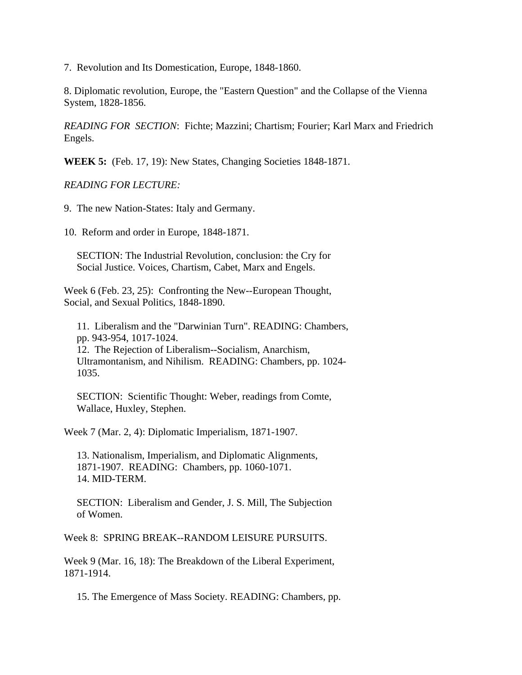7. Revolution and Its Domestication, Europe, 1848-1860.

8. Diplomatic revolution, Europe, the "Eastern Question" and the Collapse of the Vienna System, 1828-1856.

*READING FOR SECTION*: Fichte; Mazzini; Chartism; Fourier; Karl Marx and Friedrich Engels.

**WEEK 5:** (Feb. 17, 19): New States, Changing Societies 1848-1871.

*READING FOR LECTURE:*

9. The new Nation-States: Italy and Germany.

10. Reform and order in Europe, 1848-1871.

 SECTION: The Industrial Revolution, conclusion: the Cry for Social Justice. Voices, Chartism, Cabet, Marx and Engels.

Week 6 (Feb. 23, 25): Confronting the New--European Thought, Social, and Sexual Politics, 1848-1890.

 11. Liberalism and the "Darwinian Turn". READING: Chambers, pp. 943-954, 1017-1024. 12. The Rejection of Liberalism--Socialism, Anarchism, Ultramontanism, and Nihilism. READING: Chambers, pp. 1024- 1035.

 SECTION: Scientific Thought: Weber, readings from Comte, Wallace, Huxley, Stephen.

Week 7 (Mar. 2, 4): Diplomatic Imperialism, 1871-1907.

 13. Nationalism, Imperialism, and Diplomatic Alignments, 1871-1907. READING: Chambers, pp. 1060-1071. 14. MID-TERM.

 SECTION: Liberalism and Gender, J. S. Mill, The Subjection of Women.

Week 8: SPRING BREAK--RANDOM LEISURE PURSUITS.

Week 9 (Mar. 16, 18): The Breakdown of the Liberal Experiment, 1871-1914.

15. The Emergence of Mass Society. READING: Chambers, pp.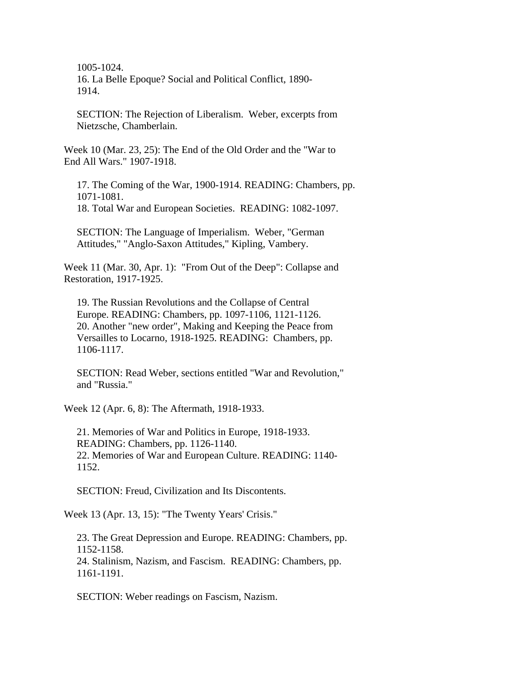1005-1024. 16. La Belle Epoque? Social and Political Conflict, 1890- 1914.

 SECTION: The Rejection of Liberalism. Weber, excerpts from Nietzsche, Chamberlain.

Week 10 (Mar. 23, 25): The End of the Old Order and the "War to End All Wars." 1907-1918.

 17. The Coming of the War, 1900-1914. READING: Chambers, pp. 1071-1081.

18. Total War and European Societies. READING: 1082-1097.

 SECTION: The Language of Imperialism. Weber, "German Attitudes," "Anglo-Saxon Attitudes," Kipling, Vambery.

Week 11 (Mar. 30, Apr. 1): "From Out of the Deep": Collapse and Restoration, 1917-1925.

 19. The Russian Revolutions and the Collapse of Central Europe. READING: Chambers, pp. 1097-1106, 1121-1126. 20. Another "new order", Making and Keeping the Peace from Versailles to Locarno, 1918-1925. READING: Chambers, pp. 1106-1117.

 SECTION: Read Weber, sections entitled "War and Revolution," and "Russia."

Week 12 (Apr. 6, 8): The Aftermath, 1918-1933.

 21. Memories of War and Politics in Europe, 1918-1933. READING: Chambers, pp. 1126-1140. 22. Memories of War and European Culture. READING: 1140- 1152.

SECTION: Freud, Civilization and Its Discontents.

Week 13 (Apr. 13, 15): "The Twenty Years' Crisis."

 23. The Great Depression and Europe. READING: Chambers, pp. 1152-1158. 24. Stalinism, Nazism, and Fascism. READING: Chambers, pp. 1161-1191.

SECTION: Weber readings on Fascism, Nazism.